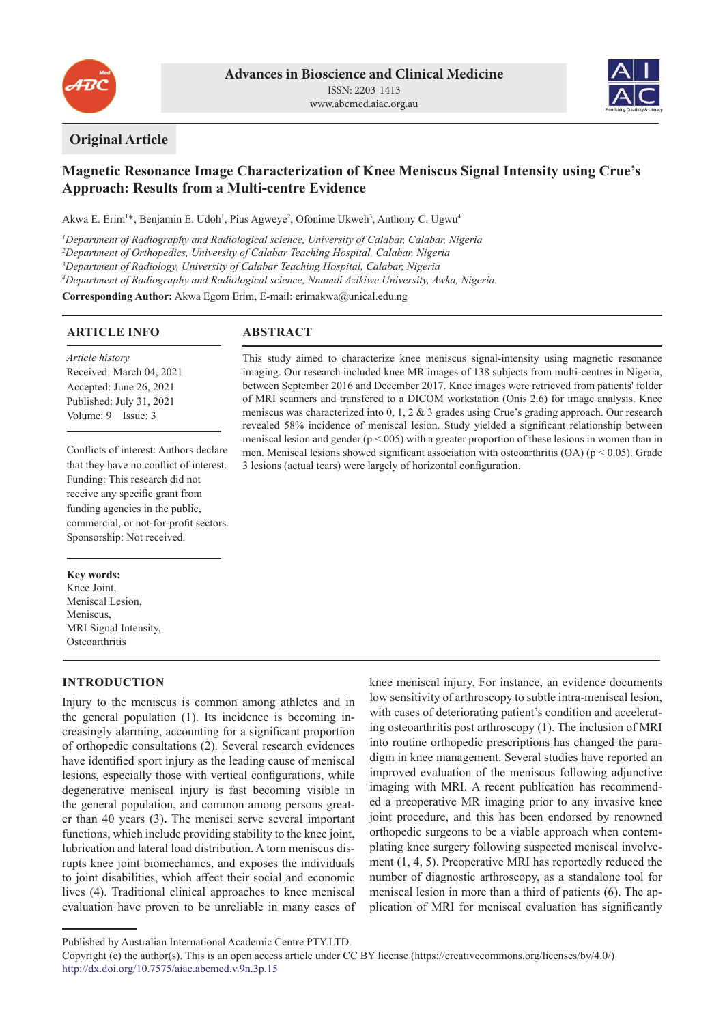



# **Original Article**

# **Magnetic Resonance Image Characterization of Knee Meniscus Signal Intensity using Crue's Approach: Results from a Multi-centre Evidence**

3 lesions (actual tears) were largely of horizontal configuration.

This study aimed to characterize knee meniscus signal-intensity using magnetic resonance imaging. Our research included knee MR images of 138 subjects from multi-centres in Nigeria, between September 2016 and December 2017. Knee images were retrieved from patients' folder of MRI scanners and transfered to a DICOM workstation (Onis 2.6) for image analysis. Knee meniscus was characterized into 0, 1, 2 & 3 grades using Crue's grading approach. Our research revealed 58% incidence of meniscal lesion. Study yielded a significant relationship between meniscal lesion and gender (p <.005) with a greater proportion of these lesions in women than in men. Meniscal lesions showed significant association with osteoarthritis  $(OA)$  ( $p < 0.05$ ). Grade

Akwa E. Erim<sup>1\*</sup>, Benjamin E. Udoh<sup>1</sup>, Pius Agweye<sup>2</sup>, Ofonime Ukweh<sup>3</sup>, Anthony C. Ugwu<sup>4</sup>

 *Department of Radiography and Radiological science, University of Calabar, Calabar, Nigeria Department of Orthopedics, University of Calabar Teaching Hospital, Calabar, Nigeria Department of Radiology, University of Calabar Teaching Hospital, Calabar, Nigeria Department of Radiography and Radiological science, Nnamdi Azikiwe University, Awka, Nigeria.* **Corresponding Author:** Akwa Egom Erim, E-mail: erimakwa@unical.edu.ng

# **ARTICLE INFO**

**ABSTRACT**

*Article history* Received: March 04, 2021 Accepted: June 26, 2021 Published: July 31, 2021 Volume: 9 Issue: 3

Conflicts of interest: Authors declare that they have no conflict of interest. Funding: This research did not receive any specific grant from funding agencies in the public, commercial, or not-for-profit sectors. Sponsorship: Not received.

#### **Key words:**

Knee Joint, Meniscal Lesion, Meniscus, MRI Signal Intensity, **Osteoarthritis** 

# **INTRODUCTION**

Injury to the meniscus is common among athletes and in the general population (1). Its incidence is becoming increasingly alarming, accounting for a significant proportion of orthopedic consultations (2). Several research evidences have identified sport injury as the leading cause of meniscal lesions, especially those with vertical configurations, while degenerative meniscal injury is fast becoming visible in the general population, and common among persons greater than 40 years (3)**.** The menisci serve several important functions, which include providing stability to the knee joint, lubrication and lateral load distribution. A torn meniscus disrupts knee joint biomechanics, and exposes the individuals to joint disabilities, which affect their social and economic lives (4). Traditional clinical approaches to knee meniscal evaluation have proven to be unreliable in many cases of

knee meniscal injury. For instance, an evidence documents low sensitivity of arthroscopy to subtle intra-meniscal lesion, with cases of deteriorating patient's condition and accelerating osteoarthritis post arthroscopy (1). The inclusion of MRI into routine orthopedic prescriptions has changed the paradigm in knee management. Several studies have reported an improved evaluation of the meniscus following adjunctive imaging with MRI. A recent publication has recommended a preoperative MR imaging prior to any invasive knee joint procedure, and this has been endorsed by renowned orthopedic surgeons to be a viable approach when contemplating knee surgery following suspected meniscal involvement (1, 4, 5). Preoperative MRI has reportedly reduced the number of diagnostic arthroscopy, as a standalone tool for meniscal lesion in more than a third of patients (6). The application of MRI for meniscal evaluation has significantly

Published by Australian International Academic Centre PTY.LTD.

Copyright (c) the author(s). This is an open access article under CC BY license (https://creativecommons.org/licenses/by/4.0/) http://dx.doi.org/10.7575/aiac.abcmed.v.9n.3p.15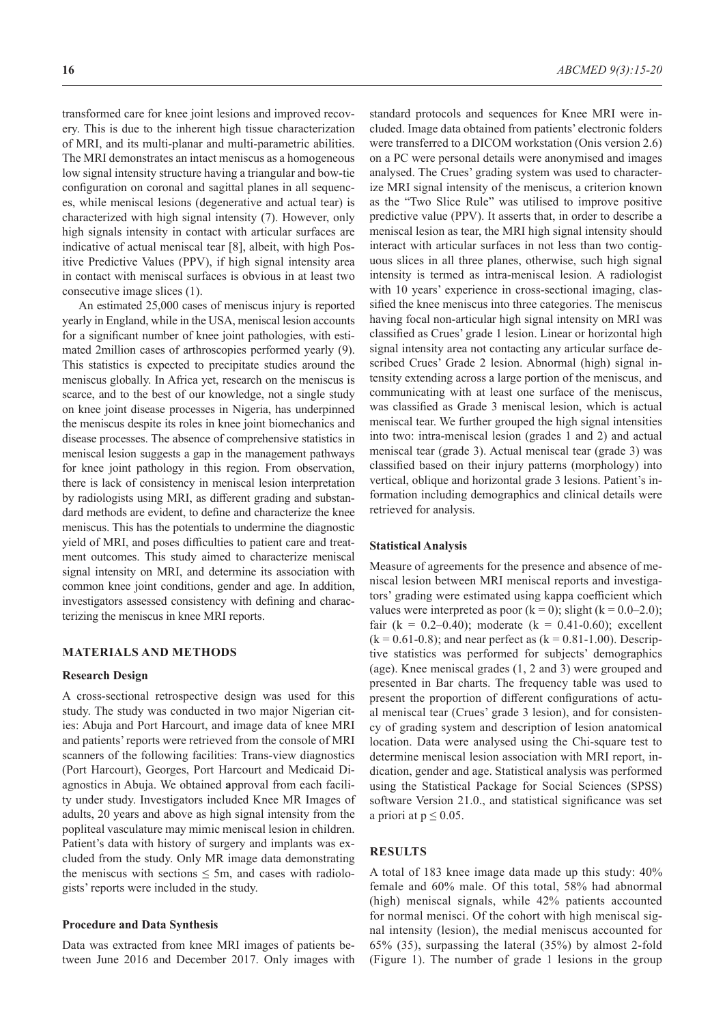transformed care for knee joint lesions and improved recovery. This is due to the inherent high tissue characterization of MRI, and its multi-planar and multi-parametric abilities. The MRI demonstrates an intact meniscus as a homogeneous low signal intensity structure having a triangular and bow-tie configuration on coronal and sagittal planes in all sequences, while meniscal lesions (degenerative and actual tear) is characterized with high signal intensity (7). However, only high signals intensity in contact with articular surfaces are indicative of actual meniscal tear [8], albeit, with high Positive Predictive Values (PPV), if high signal intensity area in contact with meniscal surfaces is obvious in at least two consecutive image slices (1).

An estimated 25,000 cases of meniscus injury is reported yearly in England, while in the USA, meniscal lesion accounts for a significant number of knee joint pathologies, with estimated 2million cases of arthroscopies performed yearly (9). This statistics is expected to precipitate studies around the meniscus globally. In Africa yet, research on the meniscus is scarce, and to the best of our knowledge, not a single study on knee joint disease processes in Nigeria, has underpinned the meniscus despite its roles in knee joint biomechanics and disease processes. The absence of comprehensive statistics in meniscal lesion suggests a gap in the management pathways for knee joint pathology in this region. From observation, there is lack of consistency in meniscal lesion interpretation by radiologists using MRI, as different grading and substandard methods are evident, to define and characterize the knee meniscus. This has the potentials to undermine the diagnostic yield of MRI, and poses difficulties to patient care and treatment outcomes. This study aimed to characterize meniscal signal intensity on MRI, and determine its association with common knee joint conditions, gender and age. In addition, investigators assessed consistency with defining and characterizing the meniscus in knee MRI reports.

## **MATERIALS AND METHODS**

#### **Research Design**

A cross-sectional retrospective design was used for this study. The study was conducted in two major Nigerian cities: Abuja and Port Harcourt, and image data of knee MRI and patients' reports were retrieved from the console of MRI scanners of the following facilities: Trans-view diagnostics (Port Harcourt), Georges, Port Harcourt and Medicaid Diagnostics in Abuja. We obtained **a**pproval from each facility under study. Investigators included Knee MR Images of adults, 20 years and above as high signal intensity from the popliteal vasculature may mimic meniscal lesion in children. Patient's data with history of surgery and implants was excluded from the study. Only MR image data demonstrating the meniscus with sections  $\leq$  5m, and cases with radiologists' reports were included in the study.

#### **Procedure and Data Synthesis**

Data was extracted from knee MRI images of patients between June 2016 and December 2017. Only images with standard protocols and sequences for Knee MRI were included. Image data obtained from patients' electronic folders were transferred to a DICOM workstation (Onis version 2.6) on a PC were personal details were anonymised and images analysed. The Crues' grading system was used to characterize MRI signal intensity of the meniscus, a criterion known as the "Two Slice Rule" was utilised to improve positive predictive value (PPV). It asserts that, in order to describe a meniscal lesion as tear, the MRI high signal intensity should interact with articular surfaces in not less than two contiguous slices in all three planes, otherwise, such high signal intensity is termed as intra-meniscal lesion. A radiologist with 10 years' experience in cross-sectional imaging, classified the knee meniscus into three categories. The meniscus having focal non-articular high signal intensity on MRI was classified as Crues' grade 1 lesion. Linear or horizontal high signal intensity area not contacting any articular surface described Crues' Grade 2 lesion. Abnormal (high) signal intensity extending across a large portion of the meniscus, and communicating with at least one surface of the meniscus, was classified as Grade 3 meniscal lesion, which is actual meniscal tear. We further grouped the high signal intensities into two: intra-meniscal lesion (grades 1 and 2) and actual meniscal tear (grade 3). Actual meniscal tear (grade 3) was classified based on their injury patterns (morphology) into vertical, oblique and horizontal grade 3 lesions. Patient's information including demographics and clinical details were retrieved for analysis.

#### **Statistical Analysis**

Measure of agreements for the presence and absence of meniscal lesion between MRI meniscal reports and investigators' grading were estimated using kappa coefficient which values were interpreted as poor  $(k = 0)$ ; slight  $(k = 0.0-2.0)$ ; fair (k = 0.2–0.40); moderate (k = 0.41-0.60); excellent  $(k = 0.61 - 0.8)$ ; and near perfect as  $(k = 0.81 - 1.00)$ . Descriptive statistics was performed for subjects' demographics (age). Knee meniscal grades (1, 2 and 3) were grouped and presented in Bar charts. The frequency table was used to present the proportion of different configurations of actual meniscal tear (Crues' grade 3 lesion), and for consistency of grading system and description of lesion anatomical location. Data were analysed using the Chi-square test to determine meniscal lesion association with MRI report, indication, gender and age. Statistical analysis was performed using the Statistical Package for Social Sciences (SPSS) software Version 21.0., and statistical significance was set a priori at  $p \leq 0.05$ .

### **RESULTS**

A total of 183 knee image data made up this study: 40% female and 60% male. Of this total, 58% had abnormal (high) meniscal signals, while 42% patients accounted for normal menisci. Of the cohort with high meniscal signal intensity (lesion), the medial meniscus accounted for 65% (35), surpassing the lateral (35%) by almost 2-fold (Figure 1). The number of grade 1 lesions in the group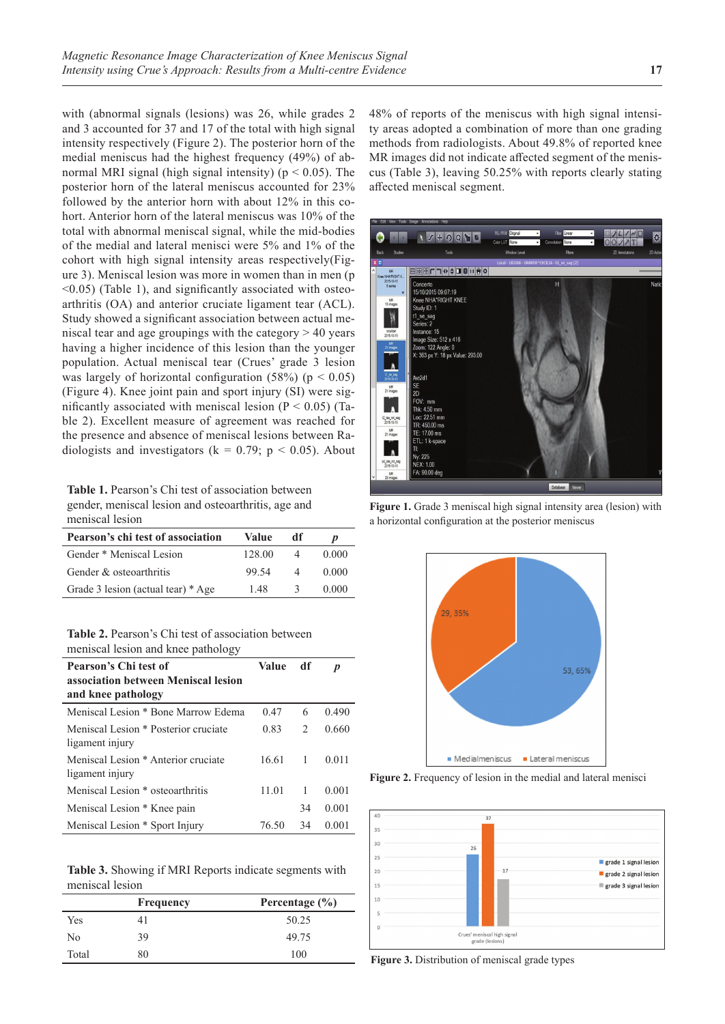with (abnormal signals (lesions) was 26, while grades 2 and 3 accounted for 37 and 17 of the total with high signal intensity respectively (Figure 2). The posterior horn of the medial meniscus had the highest frequency (49%) of abnormal MRI signal (high signal intensity) ( $p < 0.05$ ). The posterior horn of the lateral meniscus accounted for 23% followed by the anterior horn with about 12% in this cohort. Anterior horn of the lateral meniscus was 10% of the total with abnormal meniscal signal, while the mid-bodies of the medial and lateral menisci were 5% and 1% of the cohort with high signal intensity areas respectively(Figure 3). Meniscal lesion was more in women than in men (p  $\leq$ 0.05) (Table 1), and significantly associated with osteoarthritis (OA) and anterior cruciate ligament tear (ACL). Study showed a significant association between actual meniscal tear and age groupings with the category > 40 years having a higher incidence of this lesion than the younger population. Actual meniscal tear (Crues' grade 3 lesion was largely of horizontal configuration  $(58%)$  (p < 0.05) (Figure 4). Knee joint pain and sport injury (SI) were significantly associated with meniscal lesion ( $P < 0.05$ ) (Table 2). Excellent measure of agreement was reached for the presence and absence of meniscal lesions between Radiologists and investigators ( $k = 0.79$ ;  $p < 0.05$ ). About

**Table 1.** Pearson's Chi test of association between gender, meniscal lesion and osteoarthritis, age and meniscal lesion

| Pearson's chi test of association  | Value  | df | D     |
|------------------------------------|--------|----|-------|
| Gender * Meniscal Lesion           | 128.00 |    | 0.000 |
| Gender & osteoarthritis            | 99.54  |    | 0.000 |
| Grade 3 lesion (actual tear) * Age | 148    |    | 0.000 |

**Table 2.** Pearson's Chi test of association between meniscal lesion and knee pathology

| Pearson's Chi test of<br>association between Meniscal lesion | Value | df                            | $\boldsymbol{p}$ |
|--------------------------------------------------------------|-------|-------------------------------|------------------|
| and knee pathology                                           |       |                               |                  |
| Meniscal Lesion * Bone Marrow Edema                          | 0.47  | 6                             | 0.490            |
| Meniscal Lesion * Posterior cruciate<br>ligament injury      | 0.83  | $\mathfrak{D}_{\mathfrak{p}}$ | 0.660            |
| Meniscal Lesion * Anterior cruciate<br>ligament injury       | 16.61 | $\overline{1}$                | 0.011            |
| Meniscal Lesion * osteoarthritis                             | 11.01 | -1                            | 0.001            |
| Meniscal Lesion * Knee pain                                  |       | 34                            | 0.001            |
| Meniscal Lesion * Sport Injury                               | 76.50 | 34                            | 0.001            |

**Table 3.** Showing if MRI Reports indicate segments with meniscal lesion

|       | <b>Frequency</b> | Percentage $(\% )$ |
|-------|------------------|--------------------|
| Yes   | 41               | 50.25              |
| No    | 39               | 49.75              |
| Total | 80               | 100                |

48% of reports of the meniscus with high signal intensity areas adopted a combination of more than one grading methods from radiologists. About 49.8% of reported knee MR images did not indicate affected segment of the meniscus (Table 3), leaving 50.25% with reports clearly stating affected meniscal segment.



**Figure 1.** Grade 3 meniscal high signal intensity area (lesion) with a horizontal configuration at the posterior meniscus



**Figure 2.** Frequency of lesion in the medial and lateral menisci



**Figure 3.** Distribution of meniscal grade types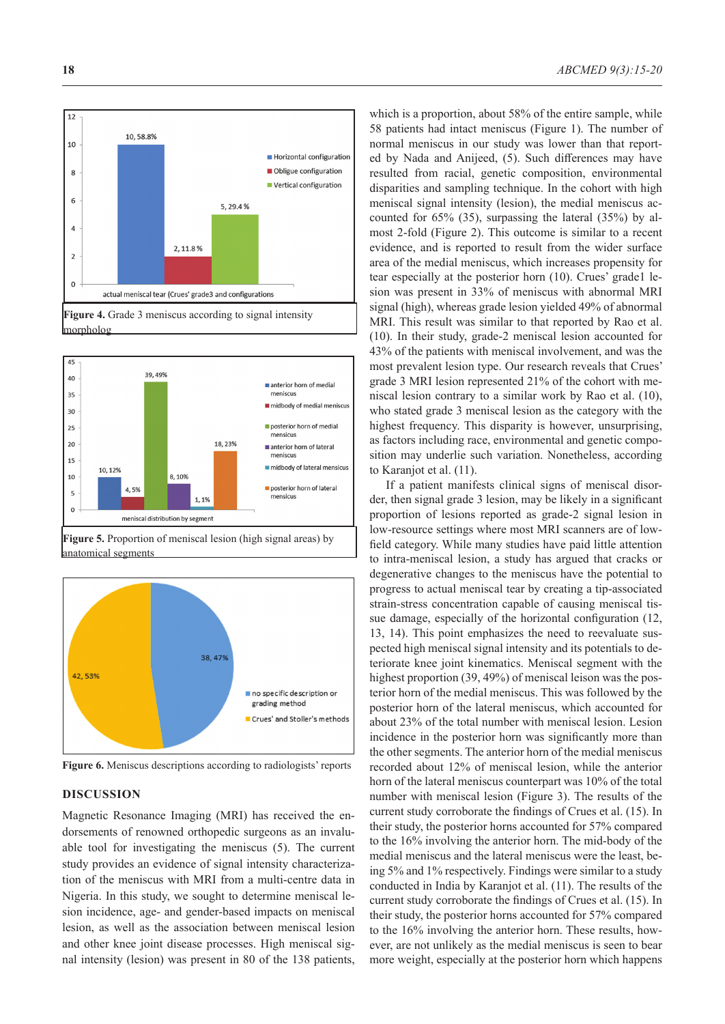





**Figure 5.** Proportion of meniscal lesion (high signal areas) by anatomical segments



**Figure 6.** Meniscus descriptions according to radiologists' reports

#### **DISCUSSION**

Magnetic Resonance Imaging (MRI) has received the endorsements of renowned orthopedic surgeons as an invaluable tool for investigating the meniscus (5). The current study provides an evidence of signal intensity characterization of the meniscus with MRI from a multi-centre data in Nigeria. In this study, we sought to determine meniscal lesion incidence, age- and gender-based impacts on meniscal lesion, as well as the association between meniscal lesion and other knee joint disease processes. High meniscal signal intensity (lesion) was present in 80 of the 138 patients,

which is a proportion, about 58% of the entire sample, while 58 patients had intact meniscus (Figure 1). The number of normal meniscus in our study was lower than that reported by Nada and Anijeed, (5). Such differences may have resulted from racial, genetic composition, environmental disparities and sampling technique. In the cohort with high meniscal signal intensity (lesion), the medial meniscus accounted for 65% (35), surpassing the lateral (35%) by almost 2-fold (Figure 2). This outcome is similar to a recent evidence, and is reported to result from the wider surface area of the medial meniscus, which increases propensity for tear especially at the posterior horn (10). Crues' grade1 lesion was present in 33% of meniscus with abnormal MRI signal (high), whereas grade lesion yielded 49% of abnormal MRI. This result was similar to that reported by Rao et al. (10). In their study, grade-2 meniscal lesion accounted for 43% of the patients with meniscal involvement, and was the most prevalent lesion type. Our research reveals that Crues' grade 3 MRI lesion represented 21% of the cohort with meniscal lesion contrary to a similar work by Rao et al. (10), who stated grade 3 meniscal lesion as the category with the highest frequency. This disparity is however, unsurprising, as factors including race, environmental and genetic composition may underlie such variation. Nonetheless, according to Karanjot et al. (11).

If a patient manifests clinical signs of meniscal disorder, then signal grade 3 lesion, may be likely in a significant proportion of lesions reported as grade-2 signal lesion in low-resource settings where most MRI scanners are of lowfield category. While many studies have paid little attention to intra-meniscal lesion, a study has argued that cracks or degenerative changes to the meniscus have the potential to progress to actual meniscal tear by creating a tip-associated strain-stress concentration capable of causing meniscal tissue damage, especially of the horizontal configuration (12, 13, 14). This point emphasizes the need to reevaluate suspected high meniscal signal intensity and its potentials to deteriorate knee joint kinematics. Meniscal segment with the highest proportion (39, 49%) of meniscal leison was the posterior horn of the medial meniscus. This was followed by the posterior horn of the lateral meniscus, which accounted for about 23% of the total number with meniscal lesion. Lesion incidence in the posterior horn was significantly more than the other segments. The anterior horn of the medial meniscus recorded about 12% of meniscal lesion, while the anterior horn of the lateral meniscus counterpart was 10% of the total number with meniscal lesion (Figure 3). The results of the current study corroborate the findings of Crues et al. (15). In their study, the posterior horns accounted for 57% compared to the 16% involving the anterior horn. The mid-body of the medial meniscus and the lateral meniscus were the least, being 5% and 1% respectively. Findings were similar to a study conducted in India by Karanjot et al. (11). The results of the current study corroborate the findings of Crues et al. (15). In their study, the posterior horns accounted for 57% compared to the 16% involving the anterior horn. These results, however, are not unlikely as the medial meniscus is seen to bear more weight, especially at the posterior horn which happens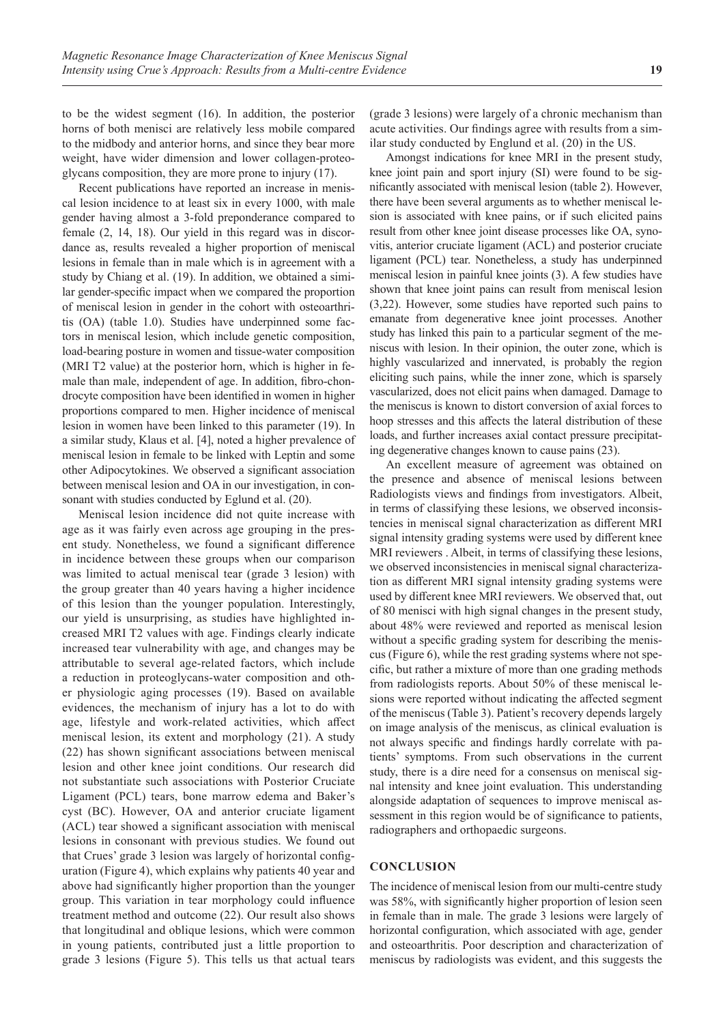to be the widest segment (16). In addition, the posterior horns of both menisci are relatively less mobile compared to the midbody and anterior horns, and since they bear more weight, have wider dimension and lower collagen-proteoglycans composition, they are more prone to injury (17).

Recent publications have reported an increase in meniscal lesion incidence to at least six in every 1000, with male gender having almost a 3-fold preponderance compared to female (2, 14, 18). Our yield in this regard was in discordance as, results revealed a higher proportion of meniscal lesions in female than in male which is in agreement with a study by Chiang et al. (19). In addition, we obtained a similar gender-specific impact when we compared the proportion of meniscal lesion in gender in the cohort with osteoarthritis (OA) (table 1.0). Studies have underpinned some factors in meniscal lesion, which include genetic composition, load-bearing posture in women and tissue-water composition (MRI T2 value) at the posterior horn, which is higher in female than male, independent of age. In addition, fibro-chondrocyte composition have been identified in women in higher proportions compared to men. Higher incidence of meniscal lesion in women have been linked to this parameter (19). In a similar study, Klaus et al. [4], noted a higher prevalence of meniscal lesion in female to be linked with Leptin and some other Adipocytokines. We observed a significant association between meniscal lesion and OA in our investigation, in consonant with studies conducted by Eglund et al. (20).

Meniscal lesion incidence did not quite increase with age as it was fairly even across age grouping in the present study. Nonetheless, we found a significant difference in incidence between these groups when our comparison was limited to actual meniscal tear (grade 3 lesion) with the group greater than 40 years having a higher incidence of this lesion than the younger population. Interestingly, our yield is unsurprising, as studies have highlighted increased MRI T2 values with age. Findings clearly indicate increased tear vulnerability with age, and changes may be attributable to several age-related factors, which include a reduction in proteoglycans-water composition and other physiologic aging processes (19). Based on available evidences, the mechanism of injury has a lot to do with age, lifestyle and work-related activities, which affect meniscal lesion, its extent and morphology (21). A study (22) has shown significant associations between meniscal lesion and other knee joint conditions. Our research did not substantiate such associations with Posterior Cruciate Ligament (PCL) tears, bone marrow edema and Baker's cyst (BC). However, OA and anterior cruciate ligament (ACL) tear showed a significant association with meniscal lesions in consonant with previous studies. We found out that Crues' grade 3 lesion was largely of horizontal configuration (Figure 4), which explains why patients 40 year and above had significantly higher proportion than the younger group. This variation in tear morphology could influence treatment method and outcome (22). Our result also shows that longitudinal and oblique lesions, which were common in young patients, contributed just a little proportion to grade 3 lesions (Figure 5). This tells us that actual tears

(grade 3 lesions) were largely of a chronic mechanism than acute activities. Our findings agree with results from a similar study conducted by Englund et al. (20) in the US.

Amongst indications for knee MRI in the present study, knee joint pain and sport injury (SI) were found to be significantly associated with meniscal lesion (table 2). However, there have been several arguments as to whether meniscal lesion is associated with knee pains, or if such elicited pains result from other knee joint disease processes like OA, synovitis, anterior cruciate ligament (ACL) and posterior cruciate ligament (PCL) tear. Nonetheless, a study has underpinned meniscal lesion in painful knee joints (3). A few studies have shown that knee joint pains can result from meniscal lesion (3,22). However, some studies have reported such pains to emanate from degenerative knee joint processes. Another study has linked this pain to a particular segment of the meniscus with lesion. In their opinion, the outer zone, which is highly vascularized and innervated, is probably the region eliciting such pains, while the inner zone, which is sparsely vascularized, does not elicit pains when damaged. Damage to the meniscus is known to distort conversion of axial forces to hoop stresses and this affects the lateral distribution of these loads, and further increases axial contact pressure precipitating degenerative changes known to cause pains (23).

An excellent measure of agreement was obtained on the presence and absence of meniscal lesions between Radiologists views and findings from investigators. Albeit, in terms of classifying these lesions, we observed inconsistencies in meniscal signal characterization as different MRI signal intensity grading systems were used by different knee MRI reviewers . Albeit, in terms of classifying these lesions, we observed inconsistencies in meniscal signal characterization as different MRI signal intensity grading systems were used by different knee MRI reviewers. We observed that, out of 80 menisci with high signal changes in the present study, about 48% were reviewed and reported as meniscal lesion without a specific grading system for describing the meniscus (Figure 6), while the rest grading systems where not specific, but rather a mixture of more than one grading methods from radiologists reports. About 50% of these meniscal lesions were reported without indicating the affected segment of the meniscus (Table 3). Patient's recovery depends largely on image analysis of the meniscus, as clinical evaluation is not always specific and findings hardly correlate with patients' symptoms. From such observations in the current study, there is a dire need for a consensus on meniscal signal intensity and knee joint evaluation. This understanding alongside adaptation of sequences to improve meniscal assessment in this region would be of significance to patients, radiographers and orthopaedic surgeons.

#### **CONCLUSION**

The incidence of meniscal lesion from our multi-centre study was 58%, with significantly higher proportion of lesion seen in female than in male. The grade 3 lesions were largely of horizontal configuration, which associated with age, gender and osteoarthritis. Poor description and characterization of meniscus by radiologists was evident, and this suggests the